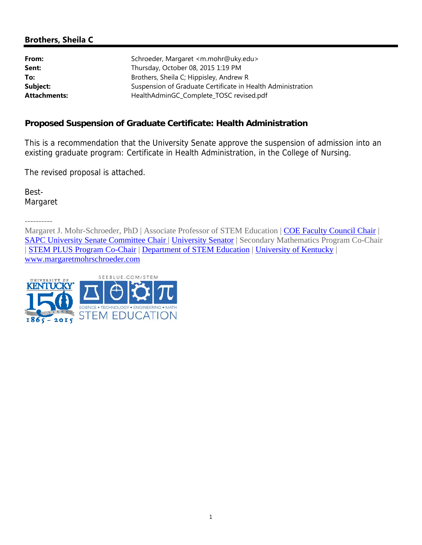# **Brothers, Sheila C**

| Schroeder, Margaret <m.mohr@uky.edu></m.mohr@uky.edu>       |  |  |
|-------------------------------------------------------------|--|--|
| Thursday, October 08, 2015 1:19 PM                          |  |  |
| Brothers, Sheila C; Hippisley, Andrew R                     |  |  |
| Suspension of Graduate Certificate in Health Administration |  |  |
| HealthAdminGC_Complete_TOSC revised.pdf                     |  |  |
|                                                             |  |  |

## **Proposed Suspension of Graduate Certificate: Health Administration**

This is a recommendation that the University Senate approve the suspension of admission into an existing graduate program: Certificate in Health Administration, in the College of Nursing.

The revised proposal is attached.

Best-Margaret

----------

Margaret J. Mohr-Schroeder, PhD | Associate Professor of STEM Education | COE Faculty Council Chair | SAPC University Senate Committee Chair | University Senator | Secondary Mathematics Program Co-Chair | STEM PLUS Program Co-Chair | Department of STEM Education | University of Kentucky | www.margaretmohrschroeder.com

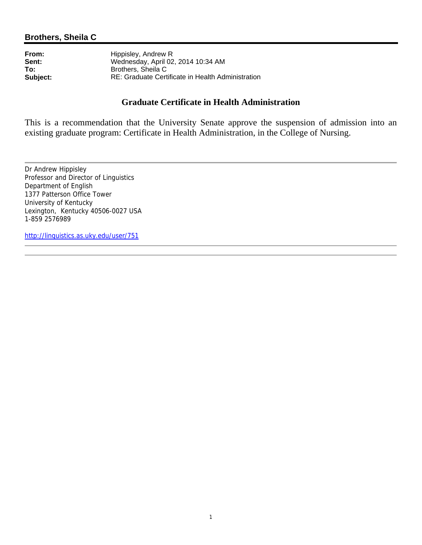**From:** Hippisley, Andrew R<br> **Sent:** Wednesday, April 02 **Sent:** Wednesday, April 02, 2014 10:34 AM<br> **To:** Brothers. Sheila C **To:** Brothers, Sheila C<br> **Subject:** RE: Graduate Cert **Subject:** RE: Graduate Certificate in Health Administration

## **Graduate Certificate in Health Administration**

This is a recommendation that the University Senate approve the suspension of admission into an existing graduate program: Certificate in Health Administration, in the College of Nursing.

Dr Andrew Hippisley Professor and Director of Linguistics Department of English 1377 Patterson Office Tower University of Kentucky Lexington, Kentucky 40506-0027 USA 1-859 2576989

http://linguistics.as.uky.edu/user/751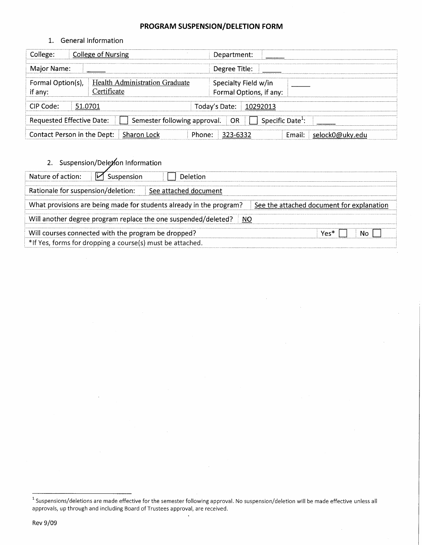## PROGRAM SUSPENSION/DELETION FORM

1. General Information

| College:                                                                                               | College of Nursing                            | Department:                                     |  |  |  |  |
|--------------------------------------------------------------------------------------------------------|-----------------------------------------------|-------------------------------------------------|--|--|--|--|
| Major Name:                                                                                            |                                               | Degree Title:                                   |  |  |  |  |
| Formal Option(s),<br>if any:                                                                           | Health Administration Graduate<br>Certificate | Specialty Field w/in<br>Formal Options, if any: |  |  |  |  |
| CIP Code:<br>51.0701<br>Today's Date:<br>10292013                                                      |                                               |                                                 |  |  |  |  |
| <b>Requested Effective Date:</b><br>Specific Date <sup>1</sup> :<br>Semester following approval.<br>OR |                                               |                                                 |  |  |  |  |
| Contact Person in the Dept:                                                                            | Sharon Lock                                   | Email: selock0@ukv.edu<br>323-6332<br>Phone:    |  |  |  |  |

2. Suspension/Deletion Information

| Nature of action:<br>Suspension                                                                                  | Deletion              |            |  |  |  |  |
|------------------------------------------------------------------------------------------------------------------|-----------------------|------------|--|--|--|--|
| Rationale for suspension/deletion:                                                                               | See attached document |            |  |  |  |  |
| What provisions are being made for students already in the program?<br>See the attached document for explanation |                       |            |  |  |  |  |
| Will another degree program replace the one suspended/deleted?<br>NO.                                            |                       |            |  |  |  |  |
| Will courses connected with the program be dropped?                                                              |                       | Yes*<br>N٥ |  |  |  |  |
| *If Yes, forms for dropping a course(s) must be attached.                                                        |                       |            |  |  |  |  |

 $\mathcal{A}$ 

<sup>&</sup>lt;sup>1</sup> Suspensions/deletions are made effective for the semester following approval. No suspension/deletion will be made effective unless all approvals, up through and including Board of Trustees approval, are received.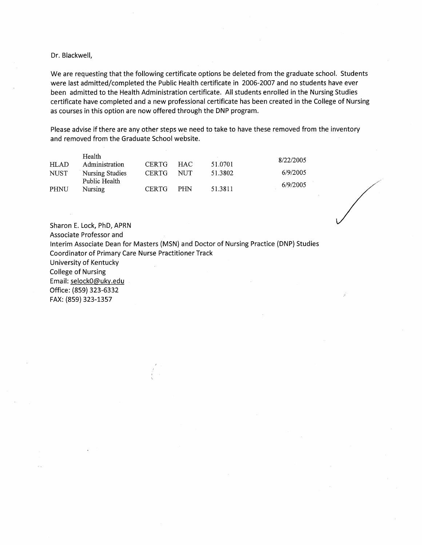#### Dr. Blackwell,

We are requesting that the following certificate options be deleted from the graduate school. Students were last admitted/completed the Public Health certificate in 2006-2007 and no students have ever been admitted to the Health Administration certificate. All students enrolled in the Nursing Studies certificate have completed and a new professional certificate has been created in the College of Nursing as courses in this option are now offered through the DNP program.

Please advise if there are any other steps we need to take to have these removed from the inventory and removed from the Graduate School website.

|      | Health                           |              |            |         | 8/22/2005 |
|------|----------------------------------|--------------|------------|---------|-----------|
| HLAD | Administration                   | <b>CERTG</b> | HAC        | 51.0701 |           |
| NUST | Nursing Studies<br>Public Health | <b>CERTG</b> | NUT        | 51.3802 | 6/9/2005  |
| PHNU | Nursing                          | <b>CERTG</b> | <b>PHN</b> | 51.3811 | 6/9/2005  |

Sharon E. Lock, PhD, APRN Associate Professor and Interim Associate Dean for Masters (MSN) and Doctor of Nursing Practice (DNP) Studies **Coordinator of Primary Care Nurse Practitioner Track** University of Kentucky **College of Nursing** Email: selock0@uky.edu Office: (859) 323-6332 FAX: (859) 323-1357